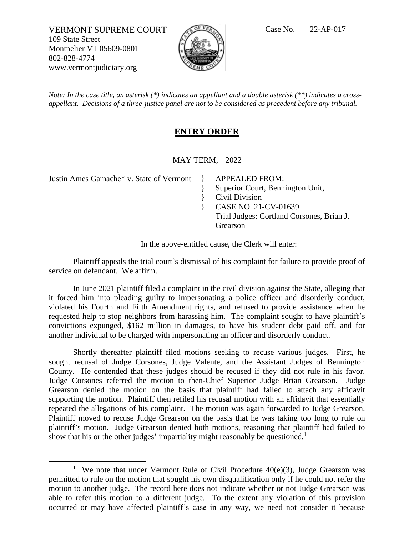VERMONT SUPREME COURT  $\sqrt{C}$ <sup>of VR</sup>A Case No. 22-AP-017 109 State Street Montpelier VT 05609-0801 802-828-4774 www.vermontjudiciary.org



*Note: In the case title, an asterisk (\*) indicates an appellant and a double asterisk (\*\*) indicates a crossappellant. Decisions of a three-justice panel are not to be considered as precedent before any tribunal.*

## **ENTRY ORDER**

MAY TERM, 2022

}

Justin Ames Gamache\* v. State of Vermont } APPEALED FROM:

} Superior Court, Bennington Unit,

Civil Division

} CASE NO. 21-CV-01639

Trial Judges: Cortland Corsones, Brian J. Grearson

In the above-entitled cause, the Clerk will enter:

Plaintiff appeals the trial court's dismissal of his complaint for failure to provide proof of service on defendant. We affirm.

In June 2021 plaintiff filed a complaint in the civil division against the State, alleging that it forced him into pleading guilty to impersonating a police officer and disorderly conduct, violated his Fourth and Fifth Amendment rights, and refused to provide assistance when he requested help to stop neighbors from harassing him. The complaint sought to have plaintiff's convictions expunged, \$162 million in damages, to have his student debt paid off, and for another individual to be charged with impersonating an officer and disorderly conduct.

Shortly thereafter plaintiff filed motions seeking to recuse various judges. First, he sought recusal of Judge Corsones, Judge Valente, and the Assistant Judges of Bennington County. He contended that these judges should be recused if they did not rule in his favor. Judge Corsones referred the motion to then-Chief Superior Judge Brian Grearson. Judge Grearson denied the motion on the basis that plaintiff had failed to attach any affidavit supporting the motion. Plaintiff then refiled his recusal motion with an affidavit that essentially repeated the allegations of his complaint. The motion was again forwarded to Judge Grearson. Plaintiff moved to recuse Judge Grearson on the basis that he was taking too long to rule on plaintiff's motion. Judge Grearson denied both motions, reasoning that plaintiff had failed to show that his or the other judges' impartiality might reasonably be questioned.<sup>1</sup>

<sup>&</sup>lt;sup>1</sup> We note that under Vermont Rule of Civil Procedure  $40(e)(3)$ , Judge Grearson was permitted to rule on the motion that sought his own disqualification only if he could not refer the motion to another judge. The record here does not indicate whether or not Judge Grearson was able to refer this motion to a different judge. To the extent any violation of this provision occurred or may have affected plaintiff's case in any way, we need not consider it because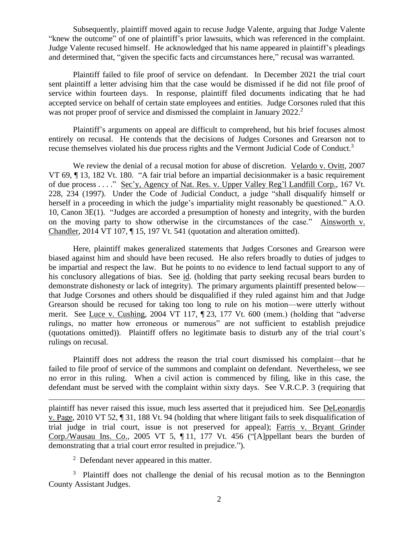Subsequently, plaintiff moved again to recuse Judge Valente, arguing that Judge Valente "knew the outcome" of one of plaintiff's prior lawsuits, which was referenced in the complaint. Judge Valente recused himself. He acknowledged that his name appeared in plaintiff's pleadings and determined that, "given the specific facts and circumstances here," recusal was warranted.

Plaintiff failed to file proof of service on defendant. In December 2021 the trial court sent plaintiff a letter advising him that the case would be dismissed if he did not file proof of service within fourteen days. In response, plaintiff filed documents indicating that he had accepted service on behalf of certain state employees and entities. Judge Corsones ruled that this was not proper proof of service and dismissed the complaint in January 2022.<sup>2</sup>

Plaintiff's arguments on appeal are difficult to comprehend, but his brief focuses almost entirely on recusal. He contends that the decisions of Judges Corsones and Grearson not to recuse themselves violated his due process rights and the Vermont Judicial Code of Conduct.<sup>3</sup>

We review the denial of a recusal motion for abuse of discretion. Velardo v. Ovitt, 2007 VT 69, ¶ 13, 182 Vt. 180. "A fair trial before an impartial decisionmaker is a basic requirement of due process . . . ." Sec'y, Agency of Nat. Res. v. Upper Valley Reg'l Landfill Corp., 167 Vt. 228, 234 (1997). Under the Code of Judicial Conduct, a judge "shall disqualify himself or herself in a proceeding in which the judge's impartiality might reasonably be questioned." A.O. 10, Canon 3E(1). "Judges are accorded a presumption of honesty and integrity, with the burden on the moving party to show otherwise in the circumstances of the case." Ainsworth v. Chandler, 2014 VT 107, ¶ 15, 197 Vt. 541 (quotation and alteration omitted).

Here, plaintiff makes generalized statements that Judges Corsones and Grearson were biased against him and should have been recused. He also refers broadly to duties of judges to be impartial and respect the law. But he points to no evidence to lend factual support to any of his conclusory allegations of bias. See id. (holding that party seeking recusal bears burden to demonstrate dishonesty or lack of integrity). The primary arguments plaintiff presented below that Judge Corsones and others should be disqualified if they ruled against him and that Judge Grearson should be recused for taking too long to rule on his motion—were utterly without merit. See Luce v. Cushing, 2004 VT 117, ¶ 23, 177 Vt. 600 (mem.) (holding that "adverse rulings, no matter how erroneous or numerous" are not sufficient to establish prejudice (quotations omitted)). Plaintiff offers no legitimate basis to disturb any of the trial court's rulings on recusal.

Plaintiff does not address the reason the trial court dismissed his complaint—that he failed to file proof of service of the summons and complaint on defendant. Nevertheless, we see no error in this ruling. When a civil action is commenced by filing, like in this case, the defendant must be served with the complaint within sixty days. See V.R.C.P. 3 (requiring that

plaintiff has never raised this issue, much less asserted that it prejudiced him. See DeLeonardis v. Page, 2010 VT 52, ¶ 31, 188 Vt. 94 (holding that where litigant fails to seek disqualification of trial judge in trial court, issue is not preserved for appeal); Farris v. Bryant Grinder Corp./Wausau Ins. Co., 2005 VT 5, ¶ 11, 177 Vt. 456 ("[A]ppellant bears the burden of demonstrating that a trial court error resulted in prejudice.").

 $2$  Defendant never appeared in this matter.

<sup>3</sup> Plaintiff does not challenge the denial of his recusal motion as to the Bennington County Assistant Judges.